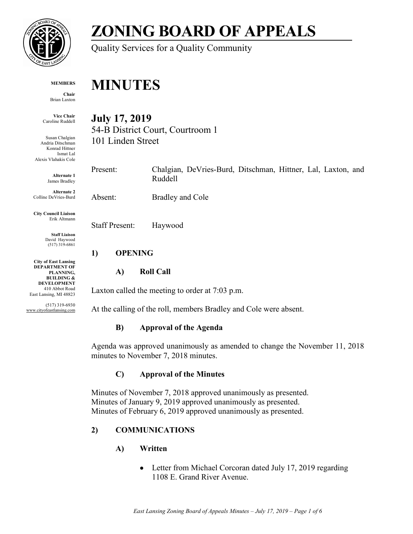

# **ZONING BOARD OF APPEALS**

Quality Services for a Quality Community

#### **MEMBERS**

**Chair** Brian Laxton

**Vice Chair** Caroline Ruddell

Susan Chalgian Andria Ditschman Konrad Hittner Ismat Lal Alexis Vlahakis Cole

> **Alternate 1** James Bradley

**Alternate 2** Colline DeVries-Burd

**City Council Liaison** Erik Altmann

> **Staff Liaison** David Haywood (517) 319-6861

**City of East Lansing DEPARTMENT OF PLANNING, BUILDING & DEVELOPMENT** 410 Abbot Road East Lansing, MI 48823

(517) 319-6930 www.cityofeastlansing.com

# **MINUTES**

**July 17, 2019**

54-B District Court, Courtroom 1 101 Linden Street

Present: Chalgian, DeVries-Burd, Ditschman, Hittner, Lal, Laxton, and Ruddell

Absent: Bradley and Cole

Staff Present: Haywood

## **1) OPENING**

# **A) Roll Call**

Laxton called the meeting to order at 7:03 p.m.

At the calling of the roll, members Bradley and Cole were absent.

# **B) Approval of the Agenda**

Agenda was approved unanimously as amended to change the November 11, 2018 minutes to November 7, 2018 minutes.

# **C) Approval of the Minutes**

Minutes of November 7, 2018 approved unanimously as presented. Minutes of January 9, 2019 approved unanimously as presented. Minutes of February 6, 2019 approved unanimously as presented.

# **2) COMMUNICATIONS**

- **A) Written**
	- Letter from Michael Corcoran dated July 17, 2019 regarding 1108 E. Grand River Avenue.

*East Lansing Zoning Board of Appeals Minutes – July 17, 2019 – Page 1 of 6*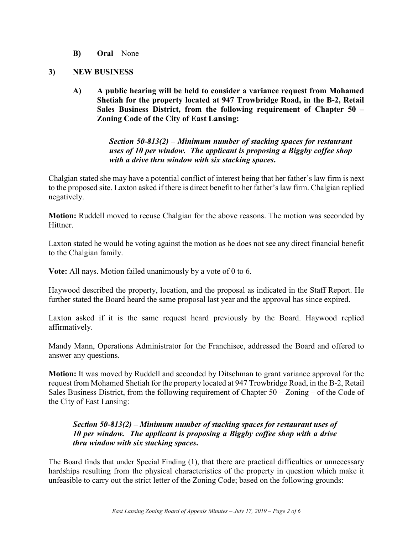**B) Oral** – None

#### **3) NEW BUSINESS**

**A) A public hearing will be held to consider a variance request from Mohamed Shetiah for the property located at 947 Trowbridge Road, in the B-2, Retail Sales Business District, from the following requirement of Chapter 50 – Zoning Code of the City of East Lansing:**

> *Section 50-813(2) – Minimum number of stacking spaces for restaurant uses of 10 per window. The applicant is proposing a Biggby coffee shop with a drive thru window with six stacking spaces***.**

Chalgian stated she may have a potential conflict of interest being that her father's law firm is next to the proposed site. Laxton asked if there is direct benefit to her father's law firm. Chalgian replied negatively.

**Motion:** Ruddell moved to recuse Chalgian for the above reasons. The motion was seconded by Hittner.

Laxton stated he would be voting against the motion as he does not see any direct financial benefit to the Chalgian family.

**Vote:** All nays. Motion failed unanimously by a vote of 0 to 6.

Haywood described the property, location, and the proposal as indicated in the Staff Report. He further stated the Board heard the same proposal last year and the approval has since expired.

Laxton asked if it is the same request heard previously by the Board. Haywood replied affirmatively.

Mandy Mann, Operations Administrator for the Franchisee, addressed the Board and offered to answer any questions.

**Motion:** It was moved by Ruddell and seconded by Ditschman to grant variance approval for the request from Mohamed Shetiah for the property located at 947 Trowbridge Road, in the B-2, Retail Sales Business District, from the following requirement of Chapter 50 – Zoning – of the Code of the City of East Lansing:

### *Section 50-813(2) – Minimum number of stacking spaces for restaurant uses of 10 per window. The applicant is proposing a Biggby coffee shop with a drive thru window with six stacking spaces***.**

The Board finds that under Special Finding (1), that there are practical difficulties or unnecessary hardships resulting from the physical characteristics of the property in question which make it unfeasible to carry out the strict letter of the Zoning Code; based on the following grounds: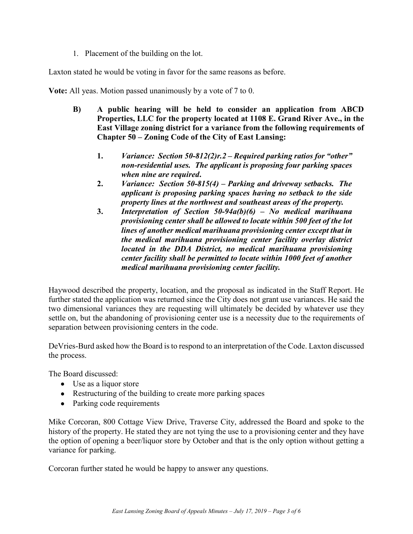1. Placement of the building on the lot.

Laxton stated he would be voting in favor for the same reasons as before.

**Vote:** All yeas. Motion passed unanimously by a vote of 7 to 0.

- **B) A public hearing will be held to consider an application from ABCD Properties, LLC for the property located at 1108 E. Grand River Ave., in the East Village zoning district for a variance from the following requirements of Chapter 50 – Zoning Code of the City of East Lansing:**
	- **1.** *Variance: Section 50-812(2)r.2 – Required parking ratios for "other" non-residential uses. The applicant is proposing four parking spaces when nine are required***.**
	- **2.** *Variance: Section 50-815(4) – Parking and driveway setbacks. The applicant is proposing parking spaces having no setback to the side property lines at the northwest and southeast areas of the property.*
	- **3.** *Interpretation of Section 50-94a(b)(6) – No medical marihuana provisioning center shall be allowed to locate within 500 feet of the lot lines of another medical marihuana provisioning center except that in the medical marihuana provisioning center facility overlay district located in the DDA District, no medical marihuana provisioning center facility shall be permitted to locate within 1000 feet of another medical marihuana provisioning center facility.*

Haywood described the property, location, and the proposal as indicated in the Staff Report. He further stated the application was returned since the City does not grant use variances. He said the two dimensional variances they are requesting will ultimately be decided by whatever use they settle on, but the abandoning of provisioning center use is a necessity due to the requirements of separation between provisioning centers in the code.

DeVries-Burd asked how the Board is to respond to an interpretation of the Code. Laxton discussed the process.

The Board discussed:

- Use as a liquor store
- Restructuring of the building to create more parking spaces
- Parking code requirements

Mike Corcoran, 800 Cottage View Drive, Traverse City, addressed the Board and spoke to the history of the property. He stated they are not tying the use to a provisioning center and they have the option of opening a beer/liquor store by October and that is the only option without getting a variance for parking.

Corcoran further stated he would be happy to answer any questions.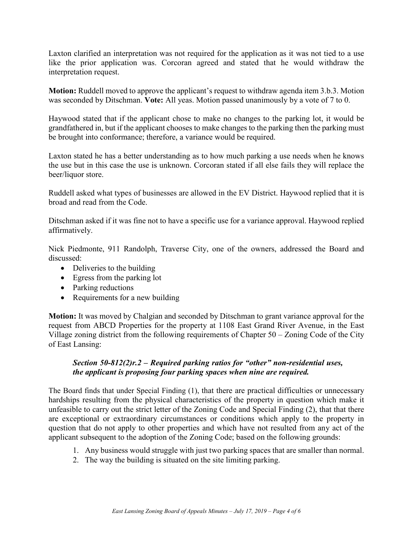Laxton clarified an interpretation was not required for the application as it was not tied to a use like the prior application was. Corcoran agreed and stated that he would withdraw the interpretation request.

**Motion:** Ruddell moved to approve the applicant's request to withdraw agenda item 3.b.3. Motion was seconded by Ditschman. **Vote:** All yeas. Motion passed unanimously by a vote of 7 to 0.

Haywood stated that if the applicant chose to make no changes to the parking lot, it would be grandfathered in, but if the applicant chooses to make changes to the parking then the parking must be brought into conformance; therefore, a variance would be required.

Laxton stated he has a better understanding as to how much parking a use needs when he knows the use but in this case the use is unknown. Corcoran stated if all else fails they will replace the beer/liquor store.

Ruddell asked what types of businesses are allowed in the EV District. Haywood replied that it is broad and read from the Code.

Ditschman asked if it was fine not to have a specific use for a variance approval. Haywood replied affirmatively.

Nick Piedmonte, 911 Randolph, Traverse City, one of the owners, addressed the Board and discussed:

- Deliveries to the building
- Egress from the parking lot
- Parking reductions
- Requirements for a new building

**Motion:** It was moved by Chalgian and seconded by Ditschman to grant variance approval for the request from ABCD Properties for the property at 1108 East Grand River Avenue, in the East Village zoning district from the following requirements of Chapter 50 – Zoning Code of the City of East Lansing:

### *Section 50-812(2)r.2 – Required parking ratios for "other" non-residential uses, the applicant is proposing four parking spaces when nine are required.*

The Board finds that under Special Finding (1), that there are practical difficulties or unnecessary hardships resulting from the physical characteristics of the property in question which make it unfeasible to carry out the strict letter of the Zoning Code and Special Finding (2), that that there are exceptional or extraordinary circumstances or conditions which apply to the property in question that do not apply to other properties and which have not resulted from any act of the applicant subsequent to the adoption of the Zoning Code; based on the following grounds:

- 1. Any business would struggle with just two parking spaces that are smaller than normal.
- 2. The way the building is situated on the site limiting parking.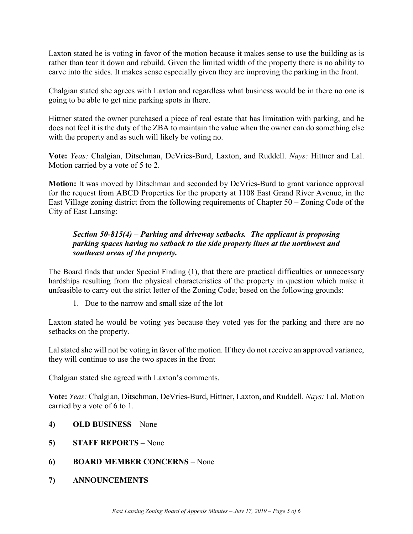Laxton stated he is voting in favor of the motion because it makes sense to use the building as is rather than tear it down and rebuild. Given the limited width of the property there is no ability to carve into the sides. It makes sense especially given they are improving the parking in the front.

Chalgian stated she agrees with Laxton and regardless what business would be in there no one is going to be able to get nine parking spots in there.

Hittner stated the owner purchased a piece of real estate that has limitation with parking, and he does not feel it is the duty of the ZBA to maintain the value when the owner can do something else with the property and as such will likely be voting no.

**Vote:** *Yeas:* Chalgian, Ditschman, DeVries-Burd, Laxton, and Ruddell. *Nays:* Hittner and Lal. Motion carried by a vote of 5 to 2.

**Motion:** It was moved by Ditschman and seconded by DeVries-Burd to grant variance approval for the request from ABCD Properties for the property at 1108 East Grand River Avenue, in the East Village zoning district from the following requirements of Chapter 50 – Zoning Code of the City of East Lansing:

### *Section 50-815(4) – Parking and driveway setbacks. The applicant is proposing parking spaces having no setback to the side property lines at the northwest and southeast areas of the property.*

The Board finds that under Special Finding (1), that there are practical difficulties or unnecessary hardships resulting from the physical characteristics of the property in question which make it unfeasible to carry out the strict letter of the Zoning Code; based on the following grounds:

1. Due to the narrow and small size of the lot

Laxton stated he would be voting yes because they voted yes for the parking and there are no setbacks on the property.

Lal stated she will not be voting in favor of the motion. If they do not receive an approved variance, they will continue to use the two spaces in the front

Chalgian stated she agreed with Laxton's comments.

**Vote:** *Yeas:* Chalgian, Ditschman, DeVries-Burd, Hittner, Laxton, and Ruddell. *Nays:* Lal. Motion carried by a vote of 6 to 1.

- **4) OLD BUSINESS** None
- **5) STAFF REPORTS** None
- **6) BOARD MEMBER CONCERNS** None
- **7) ANNOUNCEMENTS**